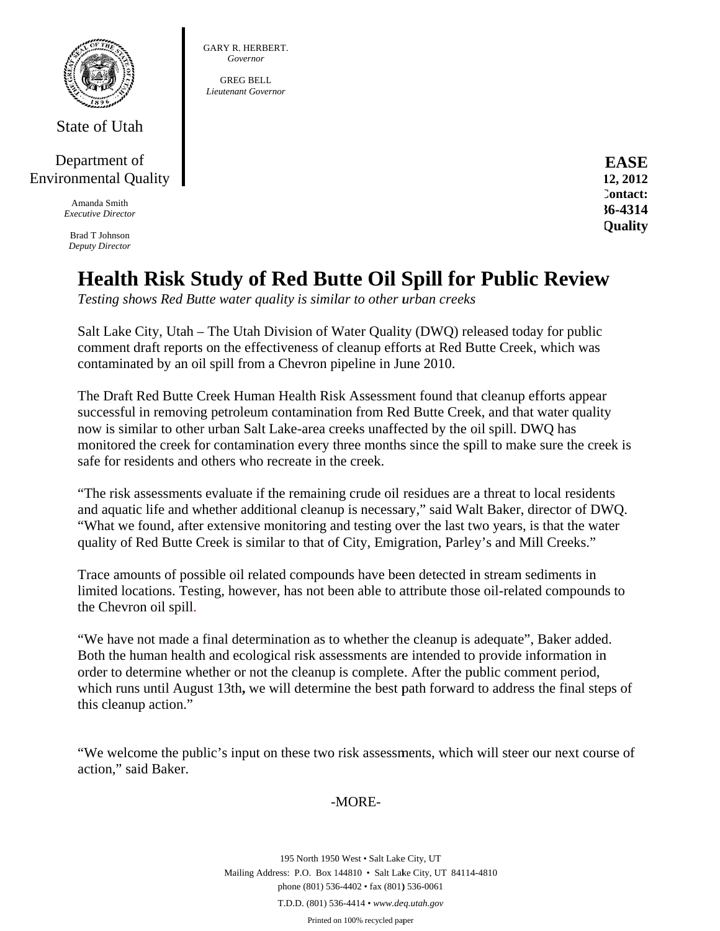

State of Utah

## Department of **Environmental Quality**

Amanda Smith **Executive Director** 

**Brad T Johnson Deputy Director**  **EASE** 12, 2012 Contact:  $36 - 4314$ Quality

## **Health Risk Study of Red Butte Oil Spill for Public Review**

Testing shows Red Butte water quality is similar to other urban creeks

**GARY R. HERBERT.** Governor **GREG BELL** Lieutenant Governor

Salt Lake City, Utah – The Utah Division of Water Quality (DWQ) released today for public comment draft reports on the effectiveness of cleanup efforts at Red Butte Creek, which was contaminated by an oil spill from a Chevron pipeline in June 2010.

The Draft Red Butte Creek Human Health Risk Assessment found that cleanup efforts appear successful in removing petroleum contamination from Red Butte Creek, and that water quality now is similar to other urban Salt Lake-area creeks unaffected by the oil spill. DWO has monitored the creek for contamination every three months since the spill to make sure the creek is safe for residents and others who recreate in the creek.

"The risk assessments evaluate if the remaining crude oil residues are a threat to local residents and aquatic life and whether additional cleanup is necessary," said Walt Baker, director of DWQ. "What we found, after extensive monitoring and testing over the last two years, is that the water quality of Red Butte Creek is similar to that of City, Emigration, Parley's and Mill Creeks."

Trace amounts of possible oil related compounds have been detected in stream sediments in limited locations. Testing, however, has not been able to attribute those oil-related compounds to the Chevron oil spill.

"We have not made a final determination as to whether the cleanup is adequate", Baker added. Both the human health and ecological risk assessments are intended to provide information in order to determine whether or not the cleanup is complete. After the public comment period, which runs until August 13th, we will determine the best path forward to address the final steps of this cleanup action."

"We welcome the public's input on these two risk assessments, which will steer our next course of action," said Baker.

-MORE-

195 North 1950 West . Salt Lake City, UT Mailing Address: P.O. Box 144810 . Salt Lake City, UT 84114-4810 phone (801) 536-4402 · fax (801) 536-0061 T.D.D. (801) 536-4414 • www.deq.utah.gov

Printed on 100% recycled paper